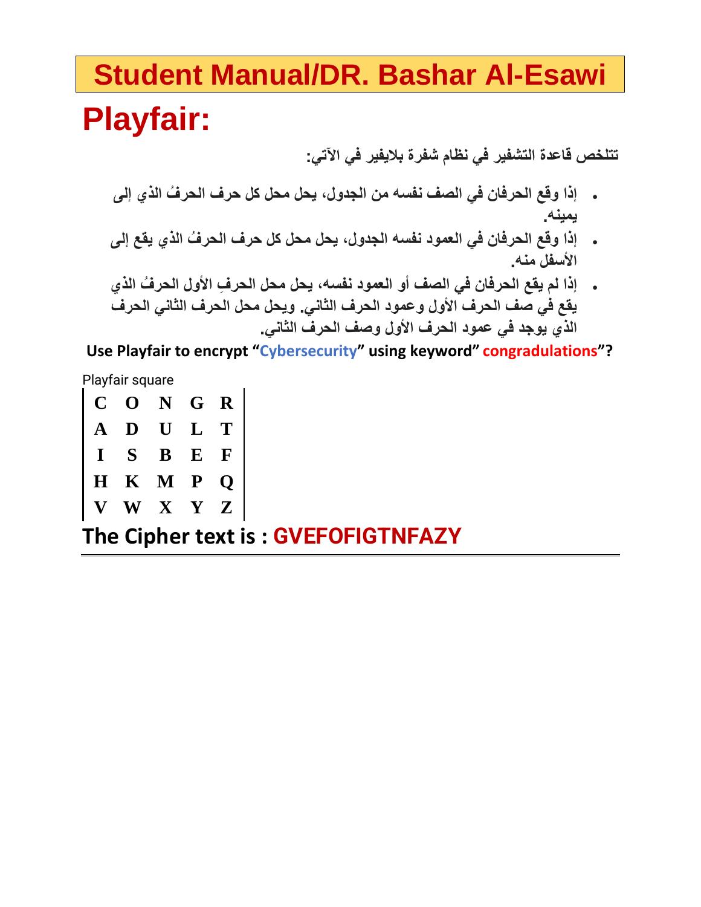# **Student Manual/DR. Bashar Al-Esawi Playfair:**

**تتلخص قاعدة التشفير في نظام شفرة باليفير في اآلتي:**

- **إذا وقع الحرفان في الصف نفسه من الجدول، يحل محل كل حرف الحر ُف الذي إلى يمينه.**
- **إذا وقع الحرفان في العمود نفسه الجدول، يحل محل كل حرف الحر ُف الذي يقع إلى األسفل منه.**
- **إذا لم يقع الحرفان في الصف أو العمود نفسه، يحل محل الحر ِف األول الحر ُف الذي يقع في صف الحرف األول وعمود الحرف الثاني. ويحل محل الحرف الثاني الحرف الذي يوجد في عمود الحرف األول وصف الحرف الثاني.**

**Use Playfair to encrypt "Cybersecurity" using keyword" congradulations"?**

Playfair square

**C O N G R A D U L T I S B E F H K M P Q V W X Y Z**

**The Cipher text is : GVEFOFIGTNFAZY**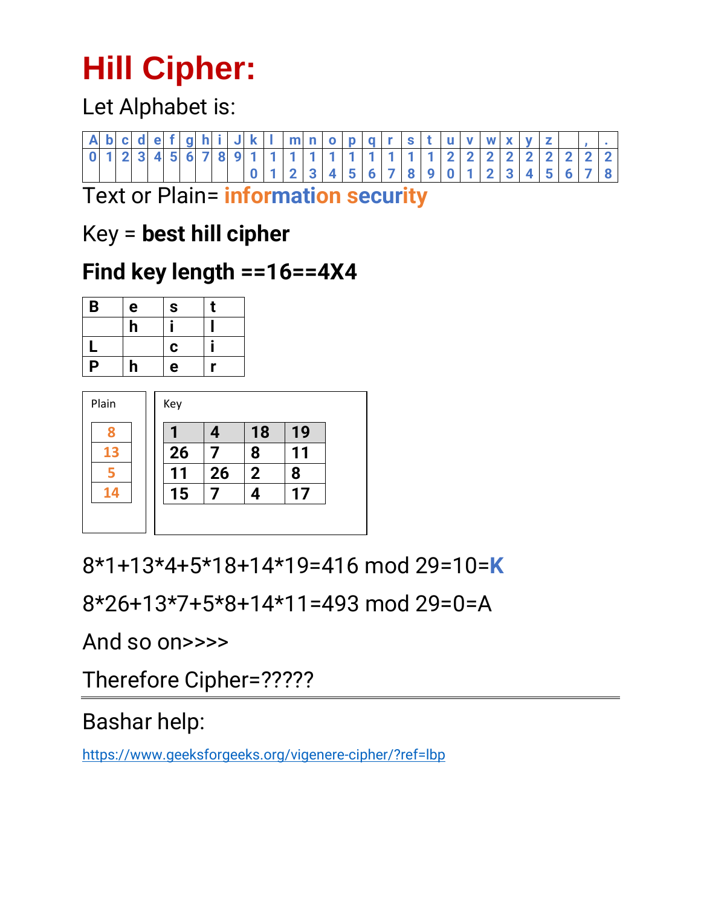# **Hill Cipher:**

Let Alphabet is:

|  |  |  |  |  |  |                 |  |  |  |          |  |  | A   b   c   d   e   f   g   h   i   J   k   I   m   n   o   p   q   r   s   t   u   v   w   x   y   z |  |  |
|--|--|--|--|--|--|-----------------|--|--|--|----------|--|--|-------------------------------------------------------------------------------------------------------|--|--|
|  |  |  |  |  |  |                 |  |  |  |          |  |  | 6 7 8 9 1 1 1 1 1 1 1 1 1 1 1 1 1 1 1 1 2 2 2 2 2 2 2 2 2 2 2                                         |  |  |
|  |  |  |  |  |  | 1 2 3 4 5 6 7 8 |  |  |  | <b>O</b> |  |  | $3 \mid 4 \mid 5 \mid 6 \mid.$                                                                        |  |  |

Text or Plain= **information security**

## Key = **best hill cipher**

## **Find key length ==16==4X4**

| B | e | ${\bf S}$ | t |
|---|---|-----------|---|
|   | h |           |   |
|   |   | C         |   |
| P | h | е         |   |

| Plain | Key |    |             |    |
|-------|-----|----|-------------|----|
|       |     | 4  | 18          | 19 |
| 13    | 26  |    | 8           | 11 |
|       | 11  | 26 | $\mathbf 2$ | 8  |
| 14    | 15  |    | 4           | 17 |
|       |     |    |             |    |

8\*1+13\*4+5\*18+14\*19=416 mod 29=10=**K**

8\*26+13\*7+5\*8+14\*11=493 mod 29=0=A

And so on>>>>

Therefore Cipher=?????

## Bashar help:

<https://www.geeksforgeeks.org/vigenere-cipher/?ref=lbp>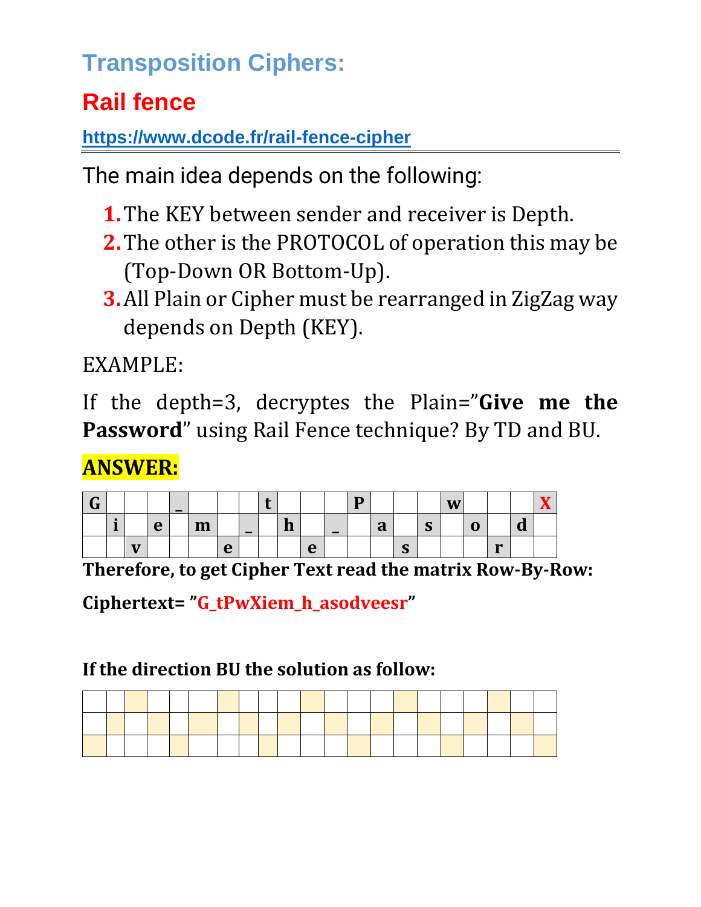## **Transposition Ciphers:**

## **Rail fence**

**<https://www.dcode.fr/rail-fence-cipher>**

The main idea depends on the following:

- **1.**The KEY between sender and receiver is Depth.
- **2.**The other is the PROTOCOL of operation this may be (Top-Down OR Bottom-Up).
- **3.**All Plain or Cipher must be rearranged in ZigZag way depends on Depth (KEY).

EXAMPLE:

If the depth=3, decryptes the Plain="**Give me the Password**" using Rail Fence technique? By TD and BU.

## **ANSWER:**

| ⌒<br>$\mathbf u$ |                      |              |   | $\overline{\phantom{0}}$ |                     |               |                          |        |   |                          | − |                  |                 |                        | W |   |              |                          | . . |
|------------------|----------------------|--------------|---|--------------------------|---------------------|---------------|--------------------------|--------|---|--------------------------|---|------------------|-----------------|------------------------|---|---|--------------|--------------------------|-----|
|                  | $\blacksquare$<br>и. |              | e |                          | $\mathbf{v}$<br>--- |               | $\overline{\phantom{0}}$ | и<br>ш |   | $\overline{\phantom{0}}$ |   | n<br>$\mathbf a$ |                 | $\sqrt{ }$<br><b>J</b> |   | u |              | $\overline{\phantom{a}}$ |     |
|                  |                      | $\mathbf{v}$ |   |                          |                     | $\Omega$<br>╰ |                          |        | e |                          |   |                  | $\sqrt{ }$<br>D |                        |   |   | $\mathbf{v}$ |                          |     |

**Therefore, to get Cipher Text read the matrix Row-By-Row:**

**Ciphertext= "G\_tPwXiem\_h\_asodveesr"**

### **If the direction BU the solution as follow:**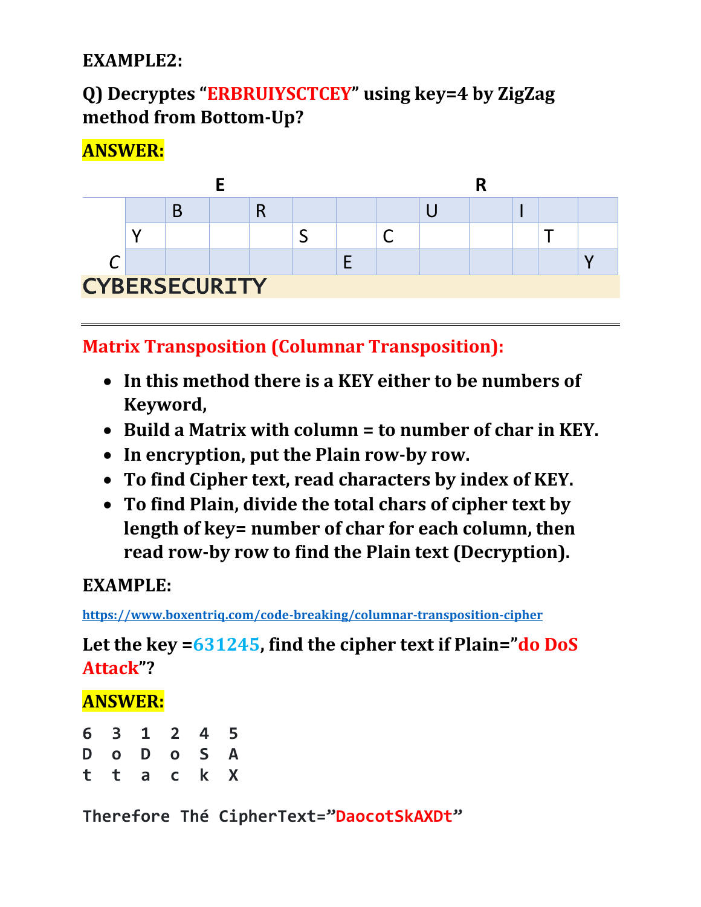#### **EXAMPLE2:**

### **Q) Decryptes "ERBRUIYSCTCEY" using key=4 by ZigZag method from Bottom-Up?**

#### **ANSWER:**



**Matrix Transposition (Columnar Transposition):**

- **In this method there is a KEY either to be numbers of Keyword,**
- **Build a Matrix with column = to number of char in KEY.**
- **In encryption, put the Plain row-by row.**
- **To find Cipher text, read characters by index of KEY.**
- **To find Plain, divide the total chars of cipher text by length of key= number of char for each column, then read row-by row to find the Plain text (Decryption).**

#### **EXAMPLE:**

**<https://www.boxentriq.com/code-breaking/columnar-transposition-cipher>**

**Let the key =631245, find the cipher text if Plain="do DoS Attack"?**

#### **ANSWER:**

| 6 3 1 2 4 5 |  |  |
|-------------|--|--|
| D O D O S A |  |  |
| t t a c k X |  |  |

**Therefore Thé CipherText="DaocotSkAXDt"**